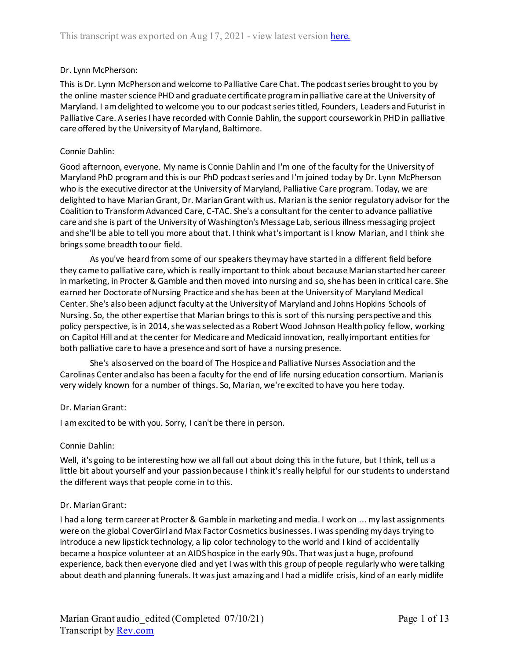# Dr. Lynn McPherson:

This is Dr. Lynn McPherson and welcome to Palliative Care Chat. The podcast series brought to you by the online master science PHD and graduate certificate program in palliative care at the University of Maryland. I am delighted to welcome you to our podcast series titled, Founders, Leaders and Futurist in Palliative Care. A series I have recorded with Connie Dahlin, the support coursework in PHD in palliative care offered by the University of Maryland, Baltimore.

# Connie Dahlin:

Good afternoon, everyone. My name is Connie Dahlin and I'm one of the faculty for the University of Maryland PhD program and this is our PhD podcast series and I'm joined today by Dr. Lynn McPherson who is the executive director at the University of Maryland, Palliative Care program. Today, we are delighted to have Marian Grant, Dr. Marian Grant with us. Marian is the senior regulatory advisor for the Coalition to Transform Advanced Care, C-TAC. She's a consultant for the center to advance palliative care and she is part of the University of Washington's Message Lab, serious illness messaging project and she'll be able to tell you more about that. I think what's important is I know Marian, and I think she brings some breadth to our field.

As you've heard from some of our speakers they may have started in a different field before they came to palliative care, which is really important to think about because Marian started her career in marketing, in Procter & Gamble and then moved into nursing and so, she has been in critical care. She earned her Doctorate of Nursing Practice and she has been at the University of Maryland Medical Center. She's also been adjunct faculty at the University of Maryland and Johns Hopkins Schools of Nursing. So, the other expertise that Marian brings to this is sort of this nursing perspective and this policy perspective, is in 2014, she wasselected as a Robert Wood Johnson Health policy fellow, working on Capitol Hill and at the center for Medicare and Medicaid innovation, really important entities for both palliative care to have a presence and sort of have a nursing presence.

She's also served on the board of The Hospice and Palliative Nurses Association and the Carolinas Center and also has been a faculty for the end of life nursing education consortium. Marian is very widely known for a number of things. So, Marian, we're excited to have you here today.

# Dr. Marian Grant:

I am excited to be with you. Sorry, I can't be there in person.

## Connie Dahlin:

Well, it's going to be interesting how we all fall out about doing this in the future, but I think, tell us a little bit about yourself and your passion because I think it's really helpful for our students to understand the different ways that people come in to this.

## Dr. Marian Grant:

I had a long term career at Procter & Gamble in marketing and media. I work on ... my last assignments were on the global CoverGirl and Max Factor Cosmetics businesses. I was spending my days trying to introduce a new lipstick technology, a lip color technology to the world and I kind of accidentally became a hospice volunteer at an AIDS hospice in the early 90s. That was just a huge, profound experience, back then everyone died and yet I was with this group of people regularly who were talking about death and planning funerals. It was just amazing and I had a midlife crisis, kind of an early midlife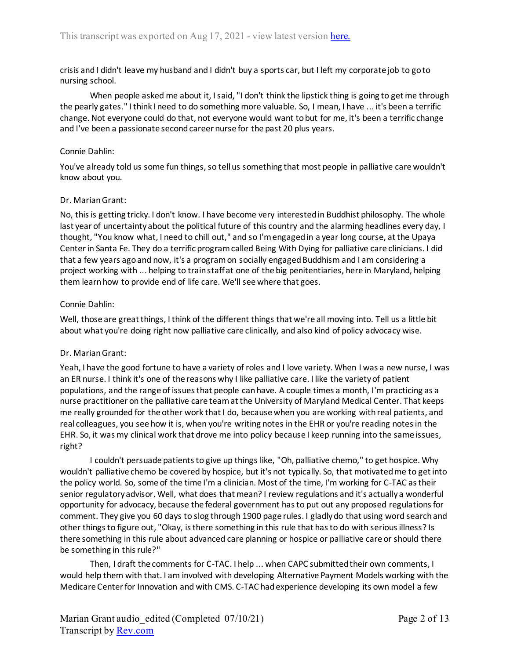crisis and I didn't leave my husband and I didn't buy a sports car, but I left my corporate job to go to nursing school.

When people asked me about it, I said, "I don't think the lipstick thing is going to get me through the pearly gates." I think I need to do something more valuable. So, I mean, I have ... it's been a terrific change. Not everyone could do that, not everyone would want to but for me, it's been a terrific change and I've been a passionate second career nurse for the past 20 plus years.

## Connie Dahlin:

You've already told us some fun things, so tell us something that most people in palliative care wouldn't know about you.

# Dr. Marian Grant:

No, this is getting tricky. I don't know. I have become very interested in Buddhist philosophy. The whole last year of uncertainty about the political future of this country and the alarming headlines every day, I thought, "You know what, I need to chill out," and so I'm engaged in a year long course, at the Upaya Center in Santa Fe. They do a terrific program called Being With Dying for palliative care clinicians. I did that a few years ago and now, it's a program on socially engaged Buddhism and I am considering a project working with ... helping to train staff at one of the big penitentiaries, here in Maryland, helping them learn how to provide end of life care. We'll see where that goes.

# Connie Dahlin:

Well, those are great things, I think of the different things that we're all moving into. Tell us a little bit about what you're doing right now palliative care clinically, and also kind of policy advocacy wise.

# Dr. Marian Grant:

Yeah, I have the good fortune to have a variety of roles and I love variety. When I was a new nurse, I was an ER nurse. I think it's one of the reasons why I like palliative care. I like the variety of patient populations, and the range of issues that people can have. A couple times a month, I'm practicing as a nurse practitioner on the palliative care team at the University of Maryland Medical Center. That keeps me really grounded for the other work that I do, because when you are working with real patients, and real colleagues, you see how it is, when you're writing notes in the EHR or you're reading notes in the EHR. So, it was my clinical work that drove me into policy because I keep running into the same issues, right?

I couldn't persuade patients to give up things like, "Oh, palliative chemo," to get hospice. Why wouldn't palliative chemo be covered by hospice, but it's not typically. So, that motivated me to get into the policy world. So, some of the time I'm a clinician. Most of the time, I'm working for C-TAC as their senior regulatory advisor. Well, what does that mean? I review regulations and it's actually a wonderful opportunity for advocacy, because the federal government has to put out any proposed regulations for comment. They give you 60 days to slog through 1900 page rules. I gladly do that using word search and other things to figure out, "Okay, is there something in this rule that has to do with serious illness? Is there something in this rule about advanced care planning or hospice or palliative care or should there be something in this rule?"

Then, I draft the comments for C-TAC. I help ... when CAPC submitted their own comments, I would help them with that. I am involved with developing Alternative Payment Models working with the Medicare Center for Innovation and with CMS. C-TAC had experience developing its own model a few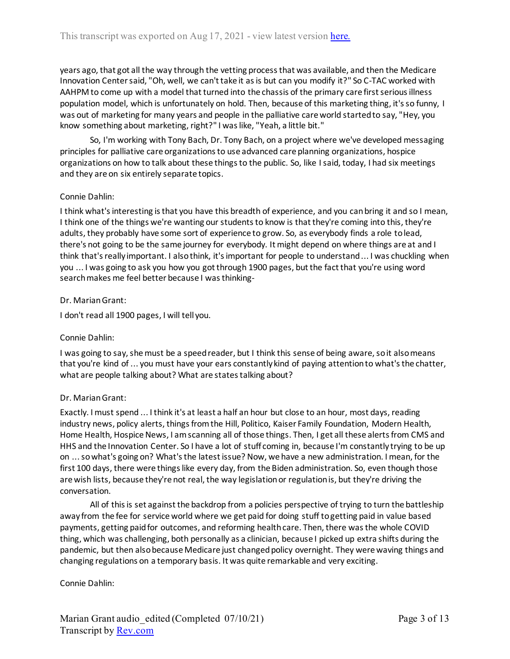years ago, that got all the way through the vetting process that was available, and then the Medicare Innovation Center said, "Oh, well, we can't take it as is but can you modify it?" So C-TAC worked with AAHPM to come up with a model that turned into the chassis of the primary care first serious illness population model, which is unfortunately on hold. Then, because of this marketing thing, it's so funny, I was out of marketing for many years and people in the palliative care world started to say, "Hey, you know something about marketing, right?" I was like, "Yeah, a little bit."

So, I'm working with Tony Bach, Dr. Tony Bach, on a project where we've developed messaging principles for palliative care organizations to use advanced care planning organizations, hospice organizations on how to talk about these things to the public. So, like I said, today, I had six meetings and they are on six entirely separate topics.

# Connie Dahlin:

I think what's interesting is that you have this breadth of experience, and you can bring it and so I mean, I think one of the things we're wanting our students to know is that they're coming into this, they're adults, they probably have some sort of experience to grow. So, as everybody finds a role to lead, there's not going to be the same journey for everybody. It might depend on where things are at and I think that's really important. I also think, it's important for people to understand ... I was chuckling when you ... I was going to ask you how you got through 1900 pages, butthe fact that you're using word search makes me feel better because I was thinking-

## Dr. Marian Grant:

I don't read all 1900 pages, I will tell you.

## Connie Dahlin:

I was going to say, she must be a speed reader, but I think this sense of being aware, so it also means that you're kind of ... you must have your ears constantly kind of paying attention to what's the chatter, what are people talking about? What are states talking about?

## Dr. Marian Grant:

Exactly. I must spend ... I think it's at least a half an hour but close to an hour, most days, reading industry news, policy alerts, things from the Hill, Politico, Kaiser Family Foundation, Modern Health, Home Health, Hospice News, I am scanning all of those things. Then, I get all these alerts from CMS and HHS and the Innovation Center. So I have a lot of stuff coming in, because I'm constantly trying to be up on ... so what's going on? What's the latest issue? Now, we have a new administration. I mean, for the first 100 days, there were things like every day, from the Biden administration. So, even though those are wish lists, because they're not real, the way legislation or regulation is, but they're driving the conversation.

All of this is set against the backdrop from a policies perspective of trying to turn the battleship away from the fee for service world where we get paid for doing stuff to getting paid in value based payments, getting paid for outcomes, and reforming health care. Then, there was the whole COVID thing, which was challenging, both personally as a clinician, because I picked up extra shifts during the pandemic, but then also because Medicare just changed policy overnight. They were waving things and changing regulations on a temporary basis. It was quite remarkable and very exciting.

## Connie Dahlin: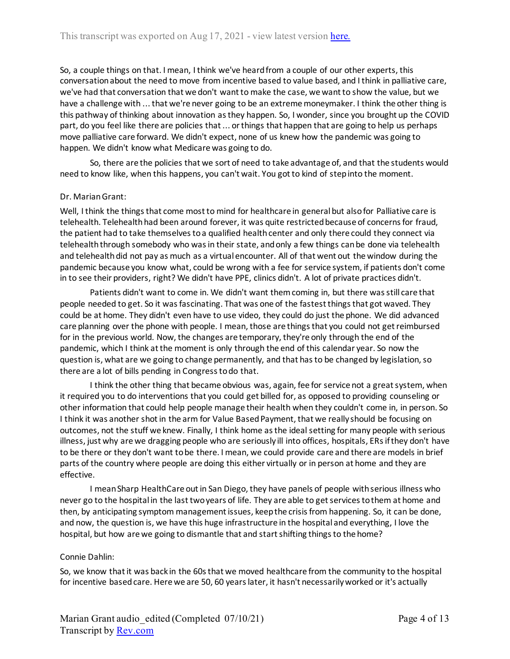So, a couple things on that. I mean, I think we've heard from a couple of our other experts, this conversation about the need to move from incentive based to value based, and I think in palliative care, we've had that conversation that we don't want to make the case, we want to show the value, but we have a challenge with ... that we're never going to be an extreme moneymaker. I think the other thing is this pathway of thinking about innovation as they happen. So, I wonder, since you brought up the COVID part, do you feel like there are policies that ... or things that happen that are going to help us perhaps move palliative care forward. We didn't expect, none of us knew how the pandemic was going to happen. We didn't know what Medicare was going to do.

So, there are the policies that we sort of need to take advantage of, and that the students would need to know like, when this happens, you can't wait. You got to kind of step into the moment.

## Dr. Marian Grant:

Well, I think the things that come most to mind for healthcare in general but also for Palliative care is telehealth. Telehealth had been around forever, it was quite restricted because of concerns for fraud, the patient had to take themselves to a qualified health center and only there could they connect via telehealth through somebody who was in their state, and only a few things can be done via telehealth and telehealth did not pay as much as a virtual encounter. All of that went out the window during the pandemic because you know what, could be wrong with a fee for service system, if patients don't come in to see their providers, right? We didn't have PPE, clinics didn't. A lot of private practices didn't.

Patients didn't want to come in. We didn't want them coming in, but there was still care that people needed to get. So it was fascinating. That was one of the fastest things that got waved. They could be at home. They didn't even have to use video, they could do just the phone. We did advanced care planning over the phone with people. I mean, those are things that you could not get reimbursed for in the previous world. Now, the changes are temporary, they're only through the end of the pandemic, which I think at the moment is only through the end of this calendar year. So now the question is, what are we going to change permanently, and that has to be changed by legislation, so there are a lot of bills pending in Congress to do that.

I think the other thing that became obvious was, again, fee for service not a great system, when it required you to do interventions that you could get billed for, as opposed to providing counseling or other information that could help people manage their health when they couldn't come in, in person. So I think it was another shot in the arm for Value Based Payment, that we really should be focusing on outcomes, not the stuff we knew. Finally, I think home as the ideal setting for many people with serious illness, just why are we dragging people who are seriously ill into offices, hospitals, ERs if they don't have to be there or they don't want to be there. I mean, we could provide care and there are models in brief parts of the country where people are doing this either virtually or in person at home and they are effective.

I mean Sharp HealthCare out in San Diego, they have panels of people with serious illness who never go to the hospital in the last two years of life. They are able to get services to them at home and then, by anticipating symptom management issues, keep the crisis from happening. So, it can be done, and now, the question is, we have this huge infrastructure in the hospital and everything, I love the hospital, but how are we going to dismantle that and start shifting things to the home?

## Connie Dahlin:

So, we know that it was back in the 60s that we moved healthcare from the community to the hospital for incentive based care. Here we are 50, 60 years later, it hasn't necessarily worked or it's actually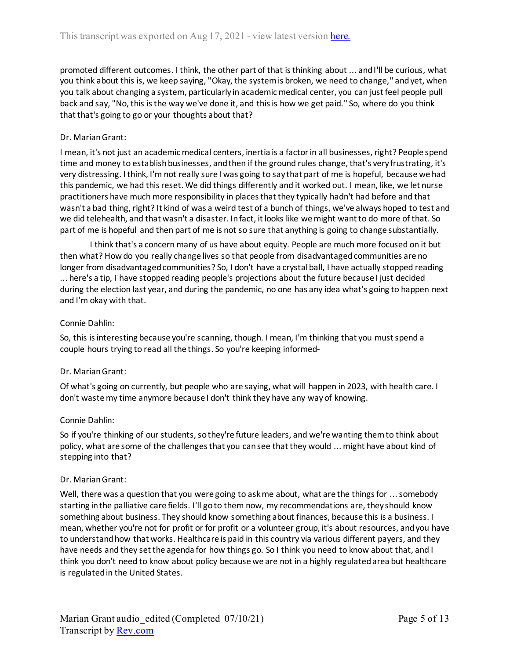promoted different outcomes. I think, the other part of that is thinking about ... and I'll be curious, what you think about this is, we keep saying, "Okay, the system is broken, we need to change," and yet, when you talk about changing a system, particularly in academic medical center, you can just feel people pull back and say, "No, this is the way we've done it, and this is how we get paid." So, where do you think that that's going to go or your thoughts about that?

# Dr. Marian Grant:

I mean, it's not just an academic medical centers, inertia is a factor in all businesses, right? People spend time and money to establish businesses, and then if the ground rules change, that's very frustrating, it's very distressing. I think, I'm not really sure I was going to say that part of me is hopeful, because we had this pandemic, we had this reset. We did things differently and it worked out. I mean, like, we let nurse practitioners have much more responsibility in places that they typically hadn't had before and that wasn't a bad thing, right? It kind of was a weird test of a bunch of things, we've always hoped to test and we did telehealth, and that wasn't a disaster. In fact, it looks like we might want to do more of that. So part of me is hopeful and then part of me is not so sure that anything is going to change substantially.

I think that's a concern many of us have about equity. People are much more focused on it but then what? How do you really change lives so that people from disadvantaged communities are no longer from disadvantaged communities? So, I don't have a crystal ball, I have actually stopped reading ... here's a tip, I have stopped reading people's projections about the future because I just decided during the election last year, and during the pandemic, no one has any idea what's going to happen next and I'm okay with that.

# Connie Dahlin:

So, this is interesting because you're scanning, though. I mean, I'm thinking that you must spend a couple hours trying to read all the things. So you're keeping informed-

## Dr. Marian Grant:

Of what's going on currently, but people who are saying, what will happen in 2023, with health care. I don't waste my time anymore because I don't think they have any way of knowing.

## Connie Dahlin:

So if you're thinking of our students, so they're future leaders, and we're wanting them to think about policy, what are some of the challenges that you can see that they would ... might have about kind of stepping into that?

## Dr. Marian Grant:

Well, there was a question that you were going to ask me about, what are the things for ... somebody starting in the palliative care fields. I'll go to them now, my recommendations are, they should know something about business. They should know something about finances, because this is a business. I mean, whether you're not for profit or for profit or a volunteer group, it's about resources, and you have to understand how that works. Healthcare is paid in this country via various different payers, and they have needs and they set the agenda for how things go. So I think you need to know about that, and I think you don't need to know about policy because we are not in a highly regulated area but healthcare is regulated in the United States.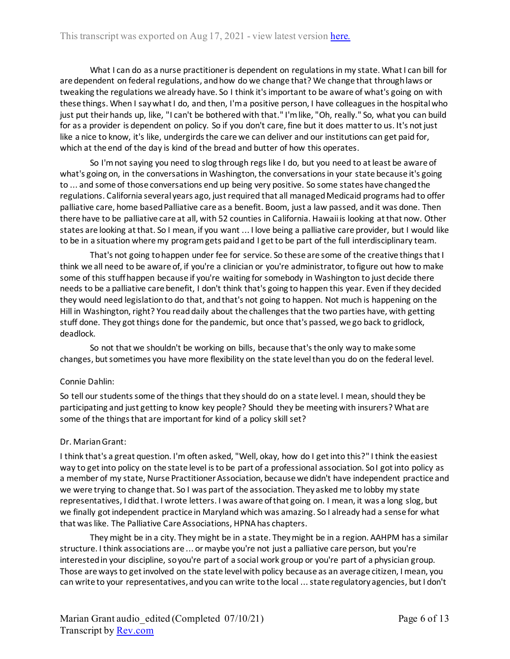What I can do as a nurse practitioner is dependent on regulations in my state. What I can bill for are dependent on federal regulations, and how do we change that? We change that through laws or tweaking the regulations we already have. So I think it's important to be aware of what's going on with these things. When I say what I do, and then, I'm a positive person, I have colleagues in the hospital who just put their hands up, like, "I can't be bothered with that." I'm like, "Oh, really." So, what you can build for as a provider is dependent on policy. So if you don't care, fine but it does matter to us. It's not just like a nice to know, it's like, undergirds the care we can deliver and our institutions can get paid for, which at the end of the day is kind of the bread and butter of how this operates.

So I'm not saying you need to slog through regs like I do, but you need to at least be aware of what's going on, in the conversations in Washington, the conversations in your state because it's going to ... and some of those conversations end up being very positive. So some states have changed the regulations. California several years ago, just required that all managed Medicaid programs had to offer palliative care, home based Palliative care as a benefit. Boom, just a law passed, and it was done. Then there have to be palliative care at all, with 52 counties in California. Hawaii is looking at that now. Other states are looking at that. So I mean, if you want ... I love being a palliative care provider, but I would like to be in a situation where my program gets paid and I get to be part of the full interdisciplinary team.

That's not going to happen under fee for service. So these are some of the creative things that I think we all need to be aware of, if you're a clinician or you're administrator, to figure out how to make some of this stuff happen because if you're waiting for somebody in Washington to just decide there needs to be a palliative care benefit, I don't think that's going to happen this year. Even if they decided they would need legislation to do that, and that's not going to happen. Not much is happening on the Hill in Washington, right? You read daily about the challenges that the two parties have, with getting stuff done. They got things done for the pandemic, but once that's passed, we go back to gridlock, deadlock.

So not that we shouldn't be working on bills, because that's the only way to make some changes, but sometimes you have more flexibility on the state level than you do on the federal level.

# Connie Dahlin:

So tell our students some of the things that they should do on a state level. I mean, should they be participating and just getting to know key people? Should they be meeting with insurers? What are some of the things that are important for kind of a policy skill set?

# Dr. Marian Grant:

I think that's a great question. I'm often asked, "Well, okay, how do I get into this?" I think the easiest way to get into policy on the state level is to be part of a professional association. So I got into policy as a member of my state, Nurse Practitioner Association, because we didn't have independent practice and we were trying to change that. So I was part of the association. They asked me to lobby my state representatives, I did that. I wrote letters. I was aware of that going on. I mean, it was a long slog, but we finally got independent practice in Maryland which was amazing. So I already had a sense for what that was like. The Palliative Care Associations, HPNA has chapters.

They might be in a city. They might be in a state. They might be in a region. AAHPM has a similar structure. I think associations are ... or maybe you're not just a palliative care person, but you're interested in your discipline, so you're part of a social work group or you're part of a physician group. Those are waysto get involved on the state level with policy because as an average citizen, I mean, you can write to your representatives, and you can write to the local ... state regulatory agencies, but I don't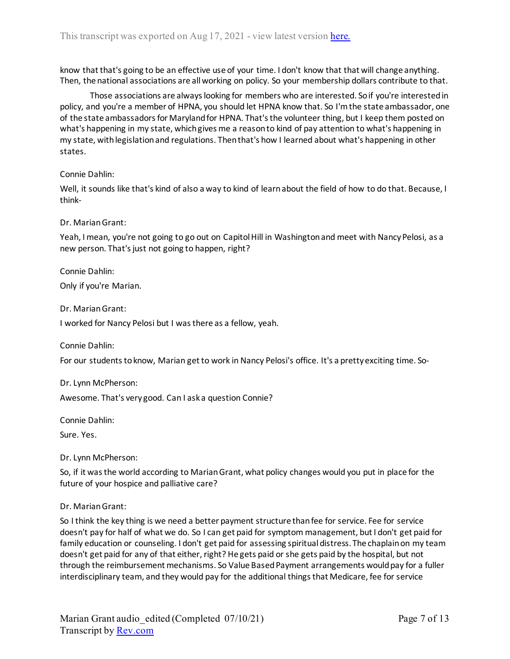know that that's going to be an effective use of your time. I don't know that that will change anything. Then, the national associations are all working on policy. So your membership dollars contribute to that.

Those associations are always looking for members who are interested. So if you're interested in policy, and you're a member of HPNA, you should let HPNA know that. So I'm the state ambassador, one of the state ambassadors for Maryland for HPNA. That's the volunteer thing, but I keep them posted on what's happening in my state, which gives me a reason to kind of pay attention to what's happening in my state, with legislation and regulations. Then that's how I learned about what's happening in other states.

## Connie Dahlin:

Well, it sounds like that's kind of also a way to kind of learn about the field of how to do that. Because, I think-

# Dr. Marian Grant:

Yeah, I mean, you're not going to go out on Capitol Hill in Washington and meet with Nancy Pelosi, as a new person. That's just not going to happen, right?

Connie Dahlin:

Only if you're Marian.

Dr. Marian Grant:

I worked for Nancy Pelosi but I was there as a fellow, yeah.

Connie Dahlin:

For our students to know, Marian get to work in Nancy Pelosi's office. It's a pretty exciting time. So-

Dr. Lynn McPherson: Awesome. That's very good. Can I ask a question Connie?

Connie Dahlin:

Sure. Yes.

Dr. Lynn McPherson:

So, if it was the world according to Marian Grant, what policy changes would you put in place for the future of your hospice and palliative care?

Dr. Marian Grant:

So I think the key thing is we need a better payment structure than fee for service. Fee for service doesn't pay for half of what we do. So I can get paid for symptom management, but I don't get paid for family education or counseling. I don't get paid for assessing spiritual distress. The chaplain on my team doesn't get paid for any of that either, right? He gets paid or she gets paid by the hospital, but not through the reimbursement mechanisms. So Value Based Payment arrangements would pay for a fuller interdisciplinary team, and they would pay for the additional things that Medicare, fee for service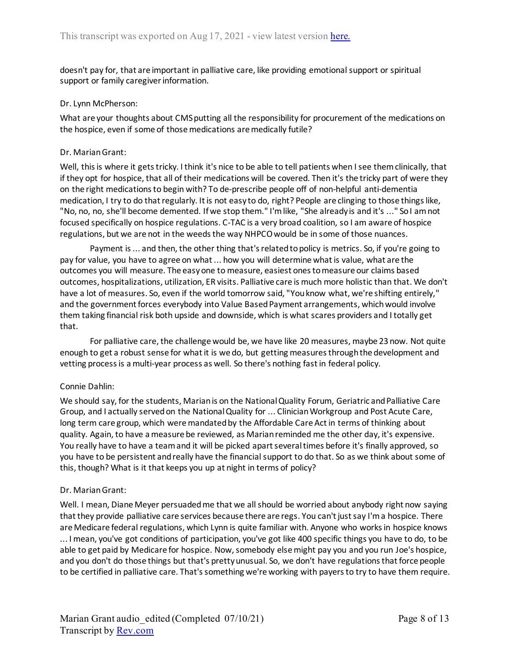doesn't pay for, that are important in palliative care, like providing emotional support or spiritual support or family caregiver information.

## Dr. Lynn McPherson:

What are your thoughts about CMS putting all the responsibility for procurement of the medications on the hospice, even if some of those medications are medically futile?

## Dr. Marian Grant:

Well, this is where it gets tricky. I think it's nice to be able to tell patients when I see them clinically, that if they opt for hospice, that all of their medications will be covered. Then it's the tricky part of were they on the right medications to begin with? To de-prescribe people off of non-helpful anti-dementia medication, I try to do that regularly. It is not easy to do, right? People are clinging to those things like, "No, no, no, she'll become demented. If we stop them." I'm like, "She already is and it's ..." So I am not focused specifically on hospice regulations. C-TAC is a very broad coalition, so I am aware of hospice regulations, but we are not in the weeds the way NHPCO would be in some of those nuances.

Payment is ... and then, the other thing that's related to policy is metrics. So, if you're going to pay for value, you have to agree on what ... how you will determine what is value, what are the outcomes you will measure. The easy one to measure, easiest ones to measure our claims based outcomes, hospitalizations, utilization, ER visits. Palliative care is much more holistic than that. We don't have a lot of measures. So, even if the world tomorrow said, "You know what, we're shifting entirely," and the government forces everybody into Value Based Payment arrangements, which would involve them taking financial risk both upside and downside, which is what scares providers and I totally get that.

For palliative care, the challenge would be, we have like 20 measures, maybe 23 now. Not quite enough to get a robust sense for what it is we do, but getting measures through the development and vetting process is a multi-year process as well. So there's nothing fast in federal policy.

# Connie Dahlin:

We should say, for the students, Marian is on the National Quality Forum, Geriatric and Palliative Care Group, and I actually served on the National Quality for ... Clinician Workgroup and Post Acute Care, long term care group, which were mandated by the Affordable Care Act in terms of thinking about quality. Again, to have a measure be reviewed, as Marian reminded me the other day, it's expensive. You really have to have a team and it will be picked apart several times before it's finally approved, so you have to be persistent and really have the financial support to do that. So as we think about some of this, though? What is it that keeps you up at night in terms of policy?

## Dr. Marian Grant:

Well. I mean, Diane Meyer persuaded me that we all should be worried about anybody right now saying that they provide palliative care services because there are regs. You can't just say I'm a hospice. There are Medicare federal regulations, which Lynn is quite familiar with. Anyone who works in hospice knows ... I mean, you've got conditions of participation, you've got like 400 specific things you have to do, to be able to get paid by Medicare for hospice. Now, somebody else might pay you and you run Joe's hospice, and you don't do those things but that's pretty unusual. So, we don't have regulations that force people to be certified in palliative care. That's something we're working with payers to try to have them require.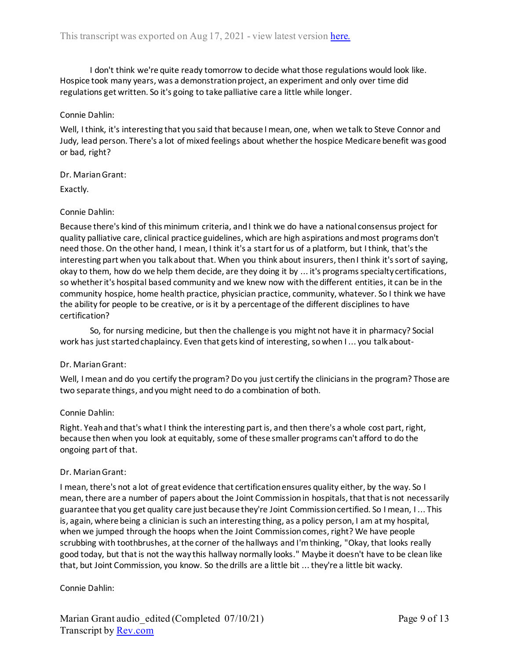I don't think we're quite ready tomorrow to decide what those regulations would look like. Hospice took many years, was a demonstration project, an experiment and only over time did regulations get written. So it's going to take palliative care a little while longer.

# Connie Dahlin:

Well, I think, it's interesting that you said that because I mean, one, when we talk to Steve Connor and Judy, lead person. There's a lot of mixed feelings about whether the hospice Medicare benefit was good or bad, right?

# Dr. Marian Grant:

Exactly.

# Connie Dahlin:

Because there's kind of this minimum criteria, and I think we do have a national consensus project for quality palliative care, clinical practice guidelines, which are high aspirations and most programs don't need those. On the other hand, I mean, I think it's a start for us of a platform, but I think, that's the interesting part when you talk about that. When you think about insurers, then I think it's sort of saying, okay to them, how do we help them decide, are they doing it by ... it's programs specialty certifications, so whether it's hospital based community and we knew now with the different entities, it can be in the community hospice, home health practice, physician practice, community, whatever. So I think we have the ability for people to be creative, or is it by a percentage of the different disciplines to have certification?

So, for nursing medicine, but then the challenge is you might not have it in pharmacy? Social work has just started chaplaincy. Even that gets kind of interesting, so when I ... you talk about-

# Dr. Marian Grant:

Well, I mean and do you certify the program? Do you just certify the clinicians in the program? Those are two separate things, and you might need to do a combination of both.

## Connie Dahlin:

Right. Yeah and that's what I think the interesting part is, and then there's a whole cost part, right, because then when you look at equitably, some of these smaller programs can't afford to do the ongoing part of that.

## Dr. Marian Grant:

I mean, there's not a lot of great evidence that certification ensures quality either, by the way. So I mean, there are a number of papers about the Joint Commission in hospitals, that that is not necessarily guarantee that you get quality care just because they're Joint Commission certified. So I mean, I ... This is, again, where being a clinician is such an interesting thing, as a policy person, I am at my hospital, when we jumped through the hoops when the Joint Commission comes, right? We have people scrubbing with toothbrushes, at the corner of the hallways and I'm thinking, "Okay, that looks really good today, but that is not the way this hallway normally looks." Maybe it doesn't have to be clean like that, but Joint Commission, you know. So the drills are a little bit ... they're a little bit wacky.

# Connie Dahlin: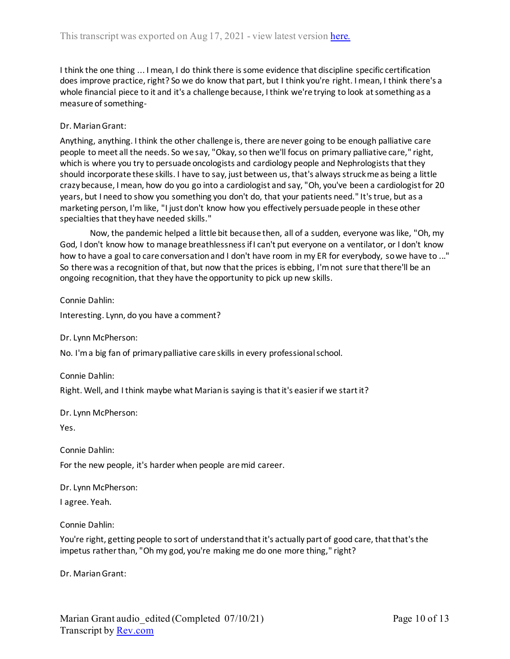I think the one thing ... I mean, I do think there is some evidence that discipline specific certification does improve practice, right? So we do know that part, but I think you're right. I mean, I think there's a whole financial piece to it and it's a challenge because, I think we're trying to look at something as a measure of something-

# Dr. Marian Grant:

Anything, anything. I think the other challenge is, there are never going to be enough palliative care people to meet all the needs. So we say, "Okay, so then we'll focus on primary palliative care," right, which is where you try to persuade oncologists and cardiology people and Nephrologists that they should incorporate these skills. I have to say, just between us, that's always struck me as being a little crazy because, I mean, how do you go into a cardiologist and say, "Oh, you've been a cardiologist for 20 years, but I need to show you something you don't do, that your patients need." It's true, but as a marketing person, I'm like, "I just don't know how you effectively persuade people in these other specialties that they have needed skills."

Now, the pandemic helped a little bit because then, all of a sudden, everyone was like, "Oh, my God, I don't know how to manage breathlessness if I can't put everyone on a ventilator, or I don't know how to have a goal to care conversation and I don't have room in my ER for everybody, so we have to ..." So there was a recognition of that, but now that the prices is ebbing, I'm not sure that there'll be an ongoing recognition, that they have the opportunity to pick up new skills.

Connie Dahlin:

Interesting. Lynn, do you have a comment?

Dr. Lynn McPherson:

No. I'm a big fan of primary palliative care skills in every professional school.

Connie Dahlin:

Right. Well, and I think maybe what Marian is saying is that it's easier if we start it?

Dr. Lynn McPherson:

Yes.

Connie Dahlin:

For the new people, it's harder when people are mid career.

Dr. Lynn McPherson:

I agree. Yeah.

Connie Dahlin:

You're right, getting people to sort of understand that it's actually part of good care, that that's the impetus rather than, "Oh my god, you're making me do one more thing," right?

Dr. Marian Grant: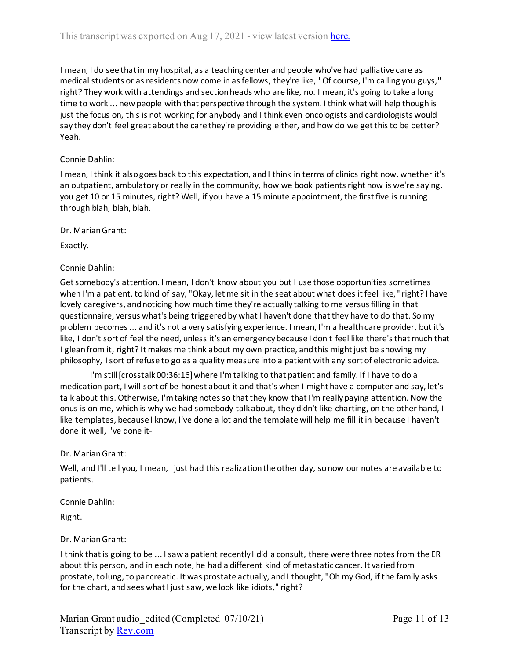I mean, I do see that in my hospital, as a teaching center and people who've had palliative care as medical students or as residents now come in as fellows, they're like, "Of course, I'm calling you guys," right? They work with attendings and section heads who are like, no. I mean, it's going to take a long time to work ... new people with that perspective through the system. I think what will help though is just the focus on, this is not working for anybody and I think even oncologists and cardiologists would say they don't feel great about the care they're providing either, and how do we get this to be better? Yeah.

## Connie Dahlin:

I mean, I think it also goes back to this expectation, and I think in terms of clinics right now, whether it's an outpatient, ambulatory or really in the community, how we book patients right now is we're saying, you get 10 or 15 minutes, right? Well, if you have a 15 minute appointment, the first five is running through blah, blah, blah.

Dr. Marian Grant:

Exactly.

## Connie Dahlin:

Get somebody's attention. I mean, I don't know about you but I use those opportunities sometimes when I'm a patient, to kind of say, "Okay, let me sit in the seat about what does it feel like," right? I have lovely caregivers, and noticing how much time they're actually talking to me versus filling in that questionnaire, versus what's being triggered by what I haven't done that they have to do that. So my problem becomes ... and it's not a very satisfying experience. I mean, I'm a health care provider, but it's like, I don't sort of feel the need, unless it's an emergency because I don't feel like there's that much that I glean from it, right? It makes me think about my own practice, and this might just be showing my philosophy, I sort of refuse to go as a quality measure into a patient with any sort of electronic advice.

I'm still [crosstalk 00:36:16] where I'm talking to that patient and family. If I have to do a medication part, I will sort of be honest about it and that's when I might have a computer and say, let's talk about this. Otherwise, I'm taking notes so that they know that I'm really paying attention. Now the onus is on me, which is why we had somebody talk about, they didn't like charting, on the other hand, I like templates, because I know, I've done a lot and the template will help me fill it in because I haven't done it well, I've done it-

## Dr. Marian Grant:

Well, and I'll tell you, I mean, I just had this realization the other day, so now our notes are available to patients.

Connie Dahlin:

Right.

## Dr. Marian Grant:

I think that is going to be ... I saw a patient recently I did a consult, there were three notes from the ER about this person, and in each note, he had a different kind of metastatic cancer. It varied from prostate, to lung, to pancreatic. It was prostate actually, and I thought, "Oh my God, if the family asks for the chart, and sees what I just saw, we look like idiots," right?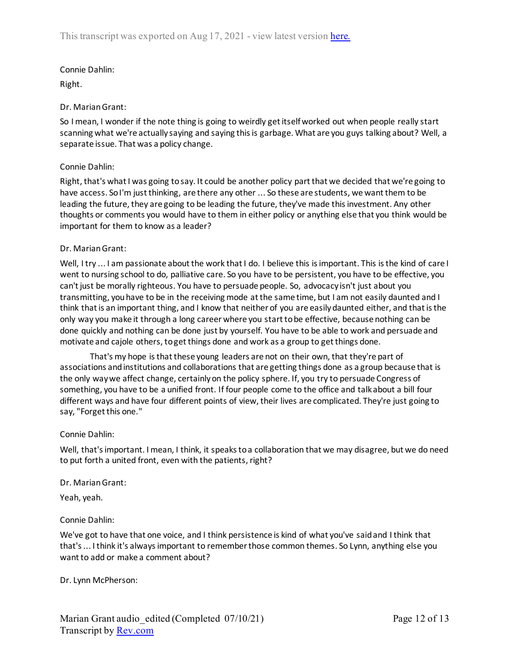Connie Dahlin: Right.

# Dr. Marian Grant:

So I mean, I wonder if the note thing is going to weirdly get itself worked out when people really start scanning what we're actually saying and saying this is garbage. What are you guys talking about? Well, a separate issue. That was a policy change.

# Connie Dahlin:

Right, that's what I was going to say. It could be another policy part that we decided that we're going to have access. So I'm just thinking, are there any other ... So these are students, we want them to be leading the future, they are going to be leading the future, they've made this investment. Any other thoughts or comments you would have to them in either policy or anything else that you think would be important for them to know as a leader?

## Dr. Marian Grant:

Well, I try ... I am passionate about the work that I do. I believe this is important. This is the kind of care I went to nursing school to do, palliative care. So you have to be persistent, you have to be effective, you can't just be morally righteous. You have to persuade people. So, advocacy isn't just about you transmitting, you have to be in the receiving mode at the same time, but I am not easily daunted and I think that is an important thing, and I know that neither of you are easily daunted either, and that is the only way you make it through a long career where you start to be effective, because nothing can be done quickly and nothing can be done just by yourself. You have to be able to work and persuade and motivate and cajole others, to get things done and work as a group to get things done.

That's my hope is that these young leaders are not on their own, that they're part of associations and institutions and collaborations that are getting things done as a group because that is the only way we affect change, certainly on the policy sphere. If, you try to persuade Congress of something, you have to be a unified front. If four people come to the office and talk about a bill four different ways and have four different points of view, their lives are complicated. They're just going to say, "Forget this one."

## Connie Dahlin:

Well, that's important. I mean, I think, it speaks to a collaboration that we may disagree, but we do need to put forth a united front, even with the patients, right?

## Dr. Marian Grant:

Yeah, yeah.

## Connie Dahlin:

We've got to have that one voice, and I think persistence is kind of what you've said and I think that that's ... I think it's always important to remember those common themes. So Lynn, anything else you want to add or make a comment about?

Dr. Lynn McPherson: